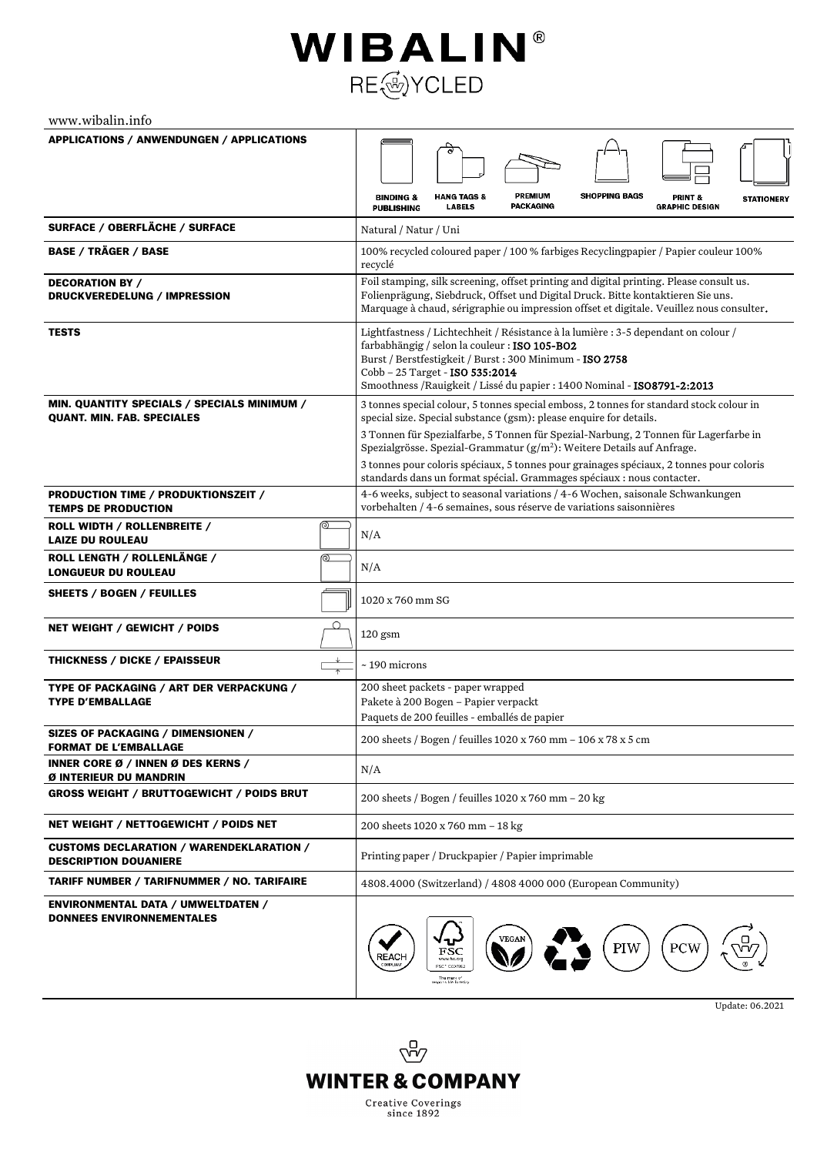## WIBALIN® RE@YCLED

www.wibalin.info

| <b>APPLICATIONS / ANWENDUNGEN / APPLICATIONS</b>                                 |                                                                                                                                                                                                                                                                                                                |  |
|----------------------------------------------------------------------------------|----------------------------------------------------------------------------------------------------------------------------------------------------------------------------------------------------------------------------------------------------------------------------------------------------------------|--|
|                                                                                  |                                                                                                                                                                                                                                                                                                                |  |
|                                                                                  | <b>SHOPPING BAGS</b><br><b>PREMIUM</b><br><b>HANG TAGS &amp;</b><br><b>BINDING &amp;</b><br>PRINT &<br><b>STATIONERY</b><br><b>PACKAGING</b><br><b>LABELS</b><br><b>GRAPHIC DESIGN</b><br><b>PUBLISHING</b>                                                                                                    |  |
| SURFACE / OBERFLÄCHE / SURFACE                                                   | Natural / Natur / Uni                                                                                                                                                                                                                                                                                          |  |
| <b>BASE / TRÄGER / BASE</b>                                                      | 100% recycled coloured paper / 100 % farbiges Recyclingpapier / Papier couleur 100%<br>recyclé                                                                                                                                                                                                                 |  |
| <b>DECORATION BY /</b><br>DRUCKVEREDELUNG / IMPRESSION                           | Foil stamping, silk screening, offset printing and digital printing. Please consult us.<br>Folienprägung, Siebdruck, Offset und Digital Druck. Bitte kontaktieren Sie uns.<br>Marquage à chaud, sérigraphie ou impression offset et digitale. Veuillez nous consulter.                                         |  |
| <b>TESTS</b>                                                                     | Lightfastness / Lichtechheit / Résistance à la lumière : 3-5 dependant on colour /<br>farbabhängig / selon la couleur : ISO 105-BO2<br>Burst / Berstfestigkeit / Burst : 300 Minimum - ISO 2758<br>Cobb - 25 Target - ISO 535:2014<br>Smoothness / Rauigkeit / Lissé du papier : 1400 Nominal - ISO8791-2:2013 |  |
| MIN. QUANTITY SPECIALS / SPECIALS MINIMUM /<br><b>QUANT. MIN. FAB. SPECIALES</b> | 3 tonnes special colour, 5 tonnes special emboss, 2 tonnes for standard stock colour in<br>special size. Special substance (gsm): please enquire for details.                                                                                                                                                  |  |
|                                                                                  | 3 Tonnen für Spezialfarbe, 5 Tonnen für Spezial-Narbung, 2 Tonnen für Lagerfarbe in<br>Spezialgrösse. Spezial-Grammatur (g/m <sup>2</sup> ): Weitere Details auf Anfrage.                                                                                                                                      |  |
|                                                                                  | 3 tonnes pour coloris spéciaux, 5 tonnes pour grainages spéciaux, 2 tonnes pour coloris<br>standards dans un format spécial. Grammages spéciaux : nous contacter.                                                                                                                                              |  |
| PRODUCTION TIME / PRODUKTIONSZEIT /<br><b>TEMPS DE PRODUCTION</b>                | 4-6 weeks, subject to seasonal variations / 4-6 Wochen, saisonale Schwankungen<br>vorbehalten / 4-6 semaines, sous réserve de variations saisonnières                                                                                                                                                          |  |
| ⊚<br>ROLL WIDTH / ROLLENBREITE /<br><b>LAIZE DU ROULEAU</b>                      | N/A                                                                                                                                                                                                                                                                                                            |  |
| ROLL LENGTH / ROLLENLÄNGE /<br>⊚<br><b>LONGUEUR DU ROULEAU</b>                   | N/A                                                                                                                                                                                                                                                                                                            |  |
| SHEETS / BOGEN / FEUILLES                                                        | 1020 x 760 mm SG                                                                                                                                                                                                                                                                                               |  |
| Q<br><b>NET WEIGHT / GEWICHT / POIDS</b>                                         | $120$ gsm                                                                                                                                                                                                                                                                                                      |  |
| <b>THICKNESS / DICKE / EPAISSEUR</b>                                             | $\sim$ 190 microns                                                                                                                                                                                                                                                                                             |  |
| TYPE OF PACKAGING / ART DER VERPACKUNG /<br><b>TYPE D'EMBALLAGE</b>              | 200 sheet packets - paper wrapped<br>Pakete à 200 Bogen - Papier verpackt<br>Paquets de 200 feuilles - emballés de papier                                                                                                                                                                                      |  |
| SIZES OF PACKAGING / DIMENSIONEN /<br><b>FORMAT DE L'EMBALLAGE</b>               | 200 sheets / Bogen / feuilles 1020 x 760 mm - 106 x 78 x 5 cm                                                                                                                                                                                                                                                  |  |
| <b>INNER CORE Ø / INNEN Ø DES KERNS /</b><br>Ø INTERIEUR DU MANDRIN              | N/A                                                                                                                                                                                                                                                                                                            |  |
| <b>GROSS WEIGHT / BRUTTOGEWICHT / POIDS BRUT</b>                                 | 200 sheets / Bogen / feuilles 1020 x 760 mm - 20 kg                                                                                                                                                                                                                                                            |  |
| NET WEIGHT / NETTOGEWICHT / POIDS NET                                            | 200 sheets 1020 x 760 mm - 18 kg                                                                                                                                                                                                                                                                               |  |
| <b>CUSTOMS DECLARATION / WARENDEKLARATION /</b><br><b>DESCRIPTION DOUANIERE</b>  | Printing paper / Druckpapier / Papier imprimable                                                                                                                                                                                                                                                               |  |
| <b>TARIFF NUMBER / TARIFNUMMER / NO. TARIFAIRE</b>                               | 4808.4000 (Switzerland) / 4808 4000 000 (European Community)                                                                                                                                                                                                                                                   |  |
| <b>ENVIRONMENTAL DATA / UMWELTDATEN /</b><br><b>DONNEES ENVIRONNEMENTALES</b>    | <b>VEGAN</b><br>PIW<br>PCW<br>FSC<br>REAC⊦<br>www.fsc.org<br>FSC* 0007992<br>The merk of<br>responsible forestry                                                                                                                                                                                               |  |

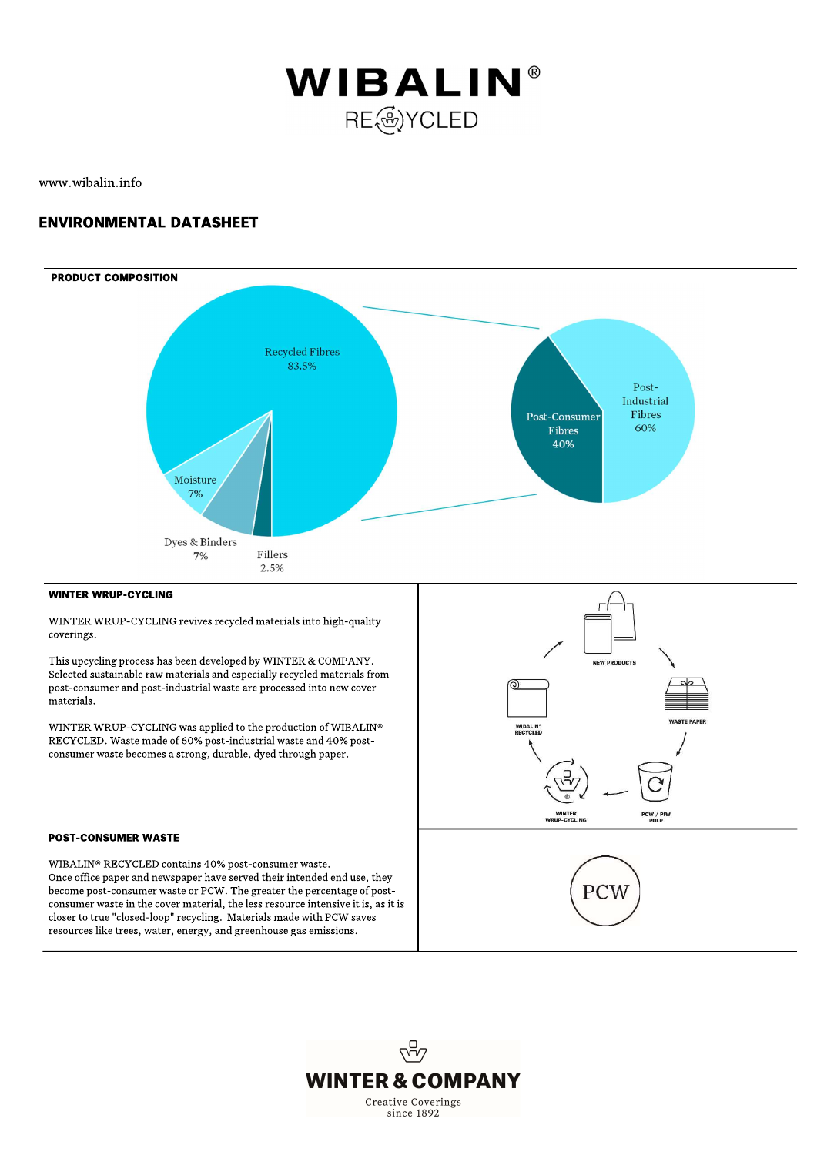

www.wibalin.info

## **ENVIRONMENTAL DATASHEET**